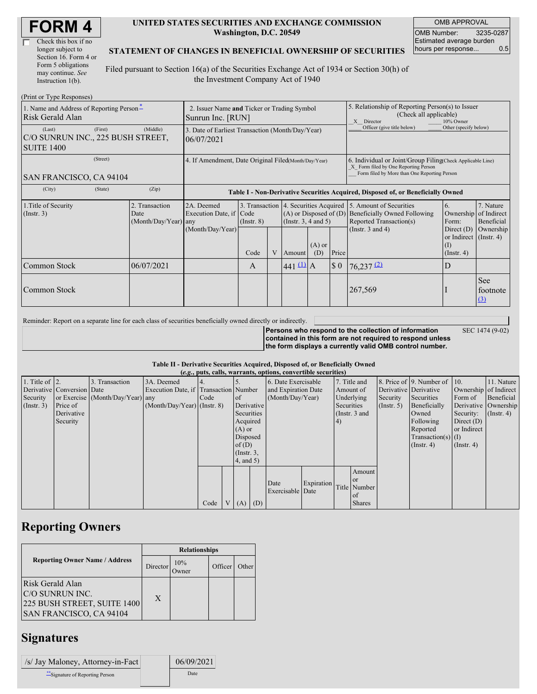| Check this box if no  |  |
|-----------------------|--|
| longer subject to     |  |
| Section 16. Form 4 or |  |
| Form 5 obligations    |  |
| may continue. See     |  |
| Instruction 1(b).     |  |

#### **UNITED STATES SECURITIES AND EXCHANGE COMMISSION Washington, D.C. 20549**

OMB APPROVAL OMB Number: 3235-0287 Estimated average burden hours per response... 0.5

### **STATEMENT OF CHANGES IN BENEFICIAL OWNERSHIP OF SECURITIES**

Filed pursuant to Section 16(a) of the Securities Exchange Act of 1934 or Section 30(h) of the Investment Company Act of 1940

| (Print or Type Responses)                                                |                                                                                                                                                                                                                                                           |            |                                                                                  |                                                                                         |                                                      |                                      |                                                                                                       |                       |                                                                                                                                                    |                                                   |                               |  |
|--------------------------------------------------------------------------|-----------------------------------------------------------------------------------------------------------------------------------------------------------------------------------------------------------------------------------------------------------|------------|----------------------------------------------------------------------------------|-----------------------------------------------------------------------------------------|------------------------------------------------------|--------------------------------------|-------------------------------------------------------------------------------------------------------|-----------------------|----------------------------------------------------------------------------------------------------------------------------------------------------|---------------------------------------------------|-------------------------------|--|
| 1. Name and Address of Reporting Person <sup>*</sup><br>Risk Gerald Alan | 2. Issuer Name and Ticker or Trading Symbol<br>Sunrun Inc. [RUN]                                                                                                                                                                                          |            |                                                                                  |                                                                                         |                                                      |                                      | 5. Relationship of Reporting Person(s) to Issuer<br>(Check all applicable)<br>10% Owner<br>X Director |                       |                                                                                                                                                    |                                                   |                               |  |
| (Last)<br>C/O SUNRUN INC., 225 BUSH STREET,<br><b>SUITE 1400</b>         | 3. Date of Earliest Transaction (Month/Day/Year)<br>06/07/2021                                                                                                                                                                                            |            |                                                                                  |                                                                                         |                                                      |                                      | Officer (give title below)                                                                            | Other (specify below) |                                                                                                                                                    |                                                   |                               |  |
| (Street)<br>SAN FRANCISCO, CA 94104                                      |                                                                                                                                                                                                                                                           |            | 4. If Amendment, Date Original Filed(Month/Day/Year)                             |                                                                                         |                                                      |                                      |                                                                                                       |                       | 6. Individual or Joint/Group Filing Check Applicable Line)<br>X Form filed by One Reporting Person<br>Form filed by More than One Reporting Person |                                                   |                               |  |
| (City)                                                                   | (State)                                                                                                                                                                                                                                                   | (Zip)      | Table I - Non-Derivative Securities Acquired, Disposed of, or Beneficially Owned |                                                                                         |                                                      |                                      |                                                                                                       |                       |                                                                                                                                                    |                                                   |                               |  |
| 1. Title of Security<br>$($ Instr. 3 $)$                                 | 3. Transaction 4. Securities Acquired 5. Amount of Securities<br>2. Transaction<br>2A. Deemed<br>Execution Date, if Code<br>$(A)$ or Disposed of $(D)$<br>Date<br>(Instr. $3, 4$ and $5$ )<br>(Month/Day/Year) any<br>$($ Instr. $8)$<br>(Month/Day/Year) |            |                                                                                  | <b>Beneficially Owned Following</b><br>Reported Transaction(s)<br>(Instr. $3$ and $4$ ) | 6.<br>Ownership of Indirect<br>Form:<br>Direct $(D)$ | 7. Nature<br>Beneficial<br>Ownership |                                                                                                       |                       |                                                                                                                                                    |                                                   |                               |  |
|                                                                          |                                                                                                                                                                                                                                                           |            |                                                                                  | Code                                                                                    | V                                                    | Amount                               | $(A)$ or<br>(D)                                                                                       | Price                 |                                                                                                                                                    | or Indirect (Instr. 4)<br>(I)<br>$($ Instr. 4 $)$ |                               |  |
| Common Stock                                                             |                                                                                                                                                                                                                                                           | 06/07/2021 |                                                                                  | $\mathsf{A}$                                                                            |                                                      | $441 \underline{u}$ A                |                                                                                                       | $\sqrt{5}0$           | $76,237$ <sup>(2)</sup>                                                                                                                            | D                                                 |                               |  |
| Common Stock                                                             |                                                                                                                                                                                                                                                           |            |                                                                                  |                                                                                         |                                                      |                                      |                                                                                                       |                       | 267,569                                                                                                                                            |                                                   | <b>See</b><br>footnote<br>(3) |  |

Reminder: Report on a separate line for each class of securities beneficially owned directly or indirectly.

SEC 1474 (9-02)

**Persons who respond to the collection of information contained in this form are not required to respond unless the form displays a currently valid OMB control number.**

### **Table II - Derivative Securities Acquired, Disposed of, or Beneficially Owned**

| (e.g., puts, calls, warrants, options, convertible securities) |                            |                                  |                                       |      |              |                 |                     |                     |            |            |                       |             |                              |                  |                      |         |            |
|----------------------------------------------------------------|----------------------------|----------------------------------|---------------------------------------|------|--------------|-----------------|---------------------|---------------------|------------|------------|-----------------------|-------------|------------------------------|------------------|----------------------|---------|------------|
| 1. Title of $\vert$ 2.                                         |                            | 3. Transaction                   | 3A. Deemed                            |      |              |                 |                     | 6. Date Exercisable |            |            | 7. Title and          |             | 8. Price of 9. Number of 10. |                  | 11. Nature           |         |            |
|                                                                | Derivative Conversion Date |                                  | Execution Date, if Transaction Number |      |              |                 | and Expiration Date |                     | Amount of  |            | Derivative Derivative |             | Ownership of Indirect        |                  |                      |         |            |
| Security                                                       |                            | or Exercise (Month/Day/Year) any |                                       | Code |              | $\circ$ f       |                     | (Month/Day/Year)    |            |            |                       | Underlying  |                              | Security         | Securities           | Form of | Beneficial |
| $($ Instr. 3 $)$                                               | Price of                   |                                  | $(Month/Day/Year)$ (Instr. 8)         |      |              | Derivative      |                     |                     |            | Securities |                       | (Insert. 5) | Beneficially                 |                  | Derivative Ownership |         |            |
|                                                                | Derivative                 |                                  |                                       |      |              | Securities      |                     |                     |            |            | (Instr. 3 and         |             | Owned                        | Security:        | $($ Instr. 4 $)$     |         |            |
|                                                                | Security                   |                                  |                                       |      |              | Acquired        |                     |                     |            | (4)        |                       |             | Following                    | Direct $(D)$     |                      |         |            |
|                                                                |                            |                                  |                                       |      |              | $(A)$ or        |                     |                     |            |            |                       |             | Reported                     | or Indirect      |                      |         |            |
|                                                                |                            |                                  |                                       |      |              | Disposed        |                     |                     |            |            |                       |             | $Transaction(s)$ (I)         |                  |                      |         |            |
|                                                                |                            |                                  |                                       |      |              | of(D)           |                     |                     |            |            |                       |             | $($ Instr. 4 $)$             | $($ Instr. 4 $)$ |                      |         |            |
|                                                                |                            |                                  |                                       |      |              | $($ Instr. $3,$ |                     |                     |            |            |                       |             |                              |                  |                      |         |            |
|                                                                |                            |                                  |                                       |      |              | 4, and 5)       |                     |                     |            |            |                       |             |                              |                  |                      |         |            |
|                                                                |                            |                                  |                                       |      |              |                 |                     |                     |            |            | Amount                |             |                              |                  |                      |         |            |
|                                                                |                            |                                  |                                       |      |              |                 |                     | Date                | Expiration |            | <b>or</b>             |             |                              |                  |                      |         |            |
|                                                                |                            |                                  |                                       |      |              |                 |                     | Exercisable Date    |            |            | Title Number          |             |                              |                  |                      |         |            |
|                                                                |                            |                                  |                                       |      |              |                 |                     |                     |            |            | of                    |             |                              |                  |                      |         |            |
|                                                                |                            |                                  |                                       | Code | $\mathbf{V}$ | $(A)$ $(D)$     |                     |                     |            |            | <b>Shares</b>         |             |                              |                  |                      |         |            |

## **Reporting Owners**

|                                                                                               | <b>Relationships</b> |              |         |       |  |  |  |
|-----------------------------------------------------------------------------------------------|----------------------|--------------|---------|-------|--|--|--|
| <b>Reporting Owner Name / Address</b>                                                         | Director             | 10%<br>)wner | Officer | Other |  |  |  |
| Risk Gerald Alan<br>C/O SUNRUN INC.<br>225 BUSH STREET, SUITE 1400<br>SAN FRANCISCO, CA 94104 | $\mathbf{X}$         |              |         |       |  |  |  |

# **Signatures**

| /s/ Jay Maloney, Attorney-in-Fact | 06/09/2021 |
|-----------------------------------|------------|
| ** Signature of Reporting Person  | Date       |